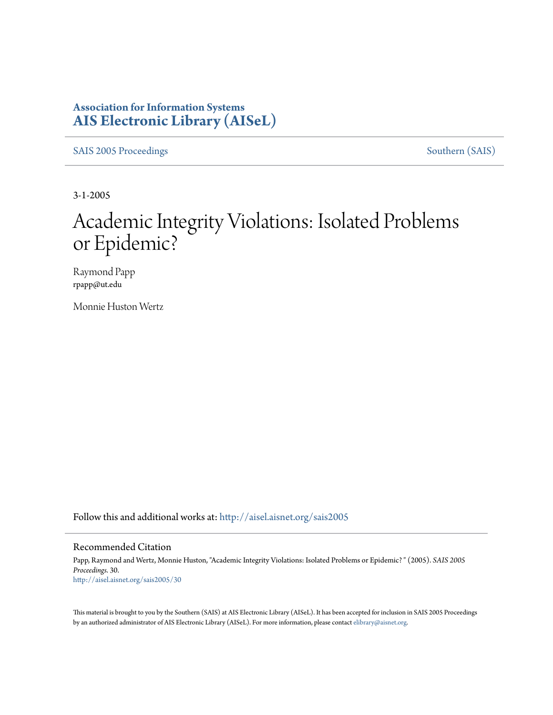#### **Association for Information Systems [AIS Electronic Library \(AISeL\)](http://aisel.aisnet.org?utm_source=aisel.aisnet.org%2Fsais2005%2F30&utm_medium=PDF&utm_campaign=PDFCoverPages)**

[SAIS 2005 Proceedings](http://aisel.aisnet.org/sais2005?utm_source=aisel.aisnet.org%2Fsais2005%2F30&utm_medium=PDF&utm_campaign=PDFCoverPages) [Southern \(SAIS\)](http://aisel.aisnet.org/sais?utm_source=aisel.aisnet.org%2Fsais2005%2F30&utm_medium=PDF&utm_campaign=PDFCoverPages)

3-1-2005

# Academic Integrity Violations: Isolated Problems or Epidemic?

Raymond Papp rpapp@ut.edu

Monnie Huston Wertz

Follow this and additional works at: [http://aisel.aisnet.org/sais2005](http://aisel.aisnet.org/sais2005?utm_source=aisel.aisnet.org%2Fsais2005%2F30&utm_medium=PDF&utm_campaign=PDFCoverPages)

#### Recommended Citation

Papp, Raymond and Wertz, Monnie Huston, "Academic Integrity Violations: Isolated Problems or Epidemic? " (2005). *SAIS 2005 Proceedings*. 30. [http://aisel.aisnet.org/sais2005/30](http://aisel.aisnet.org/sais2005/30?utm_source=aisel.aisnet.org%2Fsais2005%2F30&utm_medium=PDF&utm_campaign=PDFCoverPages)

This material is brought to you by the Southern (SAIS) at AIS Electronic Library (AISeL). It has been accepted for inclusion in SAIS 2005 Proceedings by an authorized administrator of AIS Electronic Library (AISeL). For more information, please contact [elibrary@aisnet.org](mailto:elibrary@aisnet.org%3E).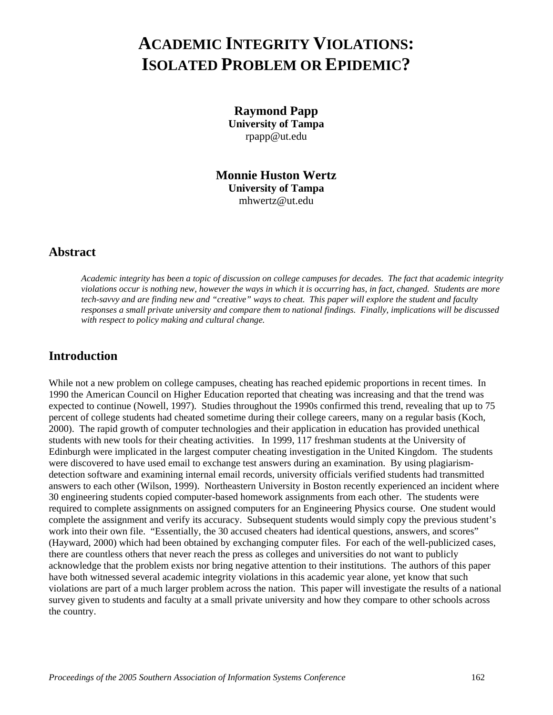## **ACADEMIC INTEGRITY VIOLATIONS: ISOLATED PROBLEM OR EPIDEMIC?**

**Raymond Papp University of Tampa**  rpapp@ut.edu

**Monnie Huston Wertz University of Tampa**  mhwertz@ut.edu

#### **Abstract**

*Academic integrity has been a topic of discussion on college campuses for decades. The fact that academic integrity violations occur is nothing new, however the ways in which it is occurring has, in fact, changed. Students are more tech-savvy and are finding new and "creative" ways to cheat. This paper will explore the student and faculty responses a small private university and compare them to national findings. Finally, implications will be discussed with respect to policy making and cultural change.* 

#### **Introduction**

While not a new problem on college campuses, cheating has reached epidemic proportions in recent times. In 1990 the American Council on Higher Education reported that cheating was increasing and that the trend was expected to continue (Nowell, 1997). Studies throughout the 1990s confirmed this trend, revealing that up to 75 percent of college students had cheated sometime during their college careers, many on a regular basis (Koch, 2000). The rapid growth of computer technologies and their application in education has provided unethical students with new tools for their cheating activities. In 1999, 117 freshman students at the University of Edinburgh were implicated in the largest computer cheating investigation in the United Kingdom. The students were discovered to have used email to exchange test answers during an examination. By using plagiarismdetection software and examining internal email records, university officials verified students had transmitted answers to each other (Wilson, 1999). Northeastern University in Boston recently experienced an incident where 30 engineering students copied computer-based homework assignments from each other. The students were required to complete assignments on assigned computers for an Engineering Physics course. One student would complete the assignment and verify its accuracy. Subsequent students would simply copy the previous student's work into their own file. "Essentially, the 30 accused cheaters had identical questions, answers, and scores" (Hayward, 2000) which had been obtained by exchanging computer files. For each of the well-publicized cases, there are countless others that never reach the press as colleges and universities do not want to publicly acknowledge that the problem exists nor bring negative attention to their institutions. The authors of this paper have both witnessed several academic integrity violations in this academic year alone, yet know that such violations are part of a much larger problem across the nation. This paper will investigate the results of a national survey given to students and faculty at a small private university and how they compare to other schools across the country.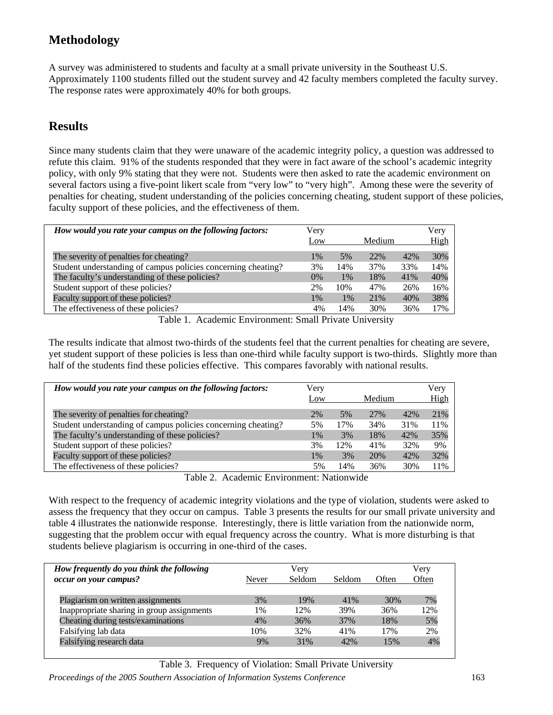### **Methodology**

A survey was administered to students and faculty at a small private university in the Southeast U.S. Approximately 1100 students filled out the student survey and 42 faculty members completed the faculty survey. The response rates were approximately 40% for both groups.

#### **Results**

Since many students claim that they were unaware of the academic integrity policy, a question was addressed to refute this claim. 91% of the students responded that they were in fact aware of the school's academic integrity policy, with only 9% stating that they were not. Students were then asked to rate the academic environment on several factors using a five-point likert scale from "very low" to "very high". Among these were the severity of penalties for cheating, student understanding of the policies concerning cheating, student support of these policies, faculty support of these policies, and the effectiveness of them.

| How would you rate your campus on the following factors:      | Very  |       |        |     | Very |
|---------------------------------------------------------------|-------|-------|--------|-----|------|
|                                                               | Low   |       | Medium |     | High |
| The severity of penalties for cheating?                       | 1%    | 5%    | 22%    | 42% | 30%  |
| Student understanding of campus policies concerning cheating? | 3%    | 14%   | 37%    | 33% | 14%  |
| The faculty's understanding of these policies?                | $0\%$ | $1\%$ | 18%    | 41% | 40%  |
| Student support of these policies?                            | 2%    | 10%   | 47%    | 26% | 16%  |
| Faculty support of these policies?                            | $1\%$ | 1%    | 21%    | 40% | 38%  |
| The effectiveness of these policies?                          | 4%    | 14%   | 30%    | 36% | 17%  |
|                                                               |       |       |        |     |      |

Table 1. Academic Environment: Small Private University

The results indicate that almost two-thirds of the students feel that the current penalties for cheating are severe, yet student support of these policies is less than one-third while faculty support is two-thirds. Slightly more than half of the students find these policies effective. This compares favorably with national results.

| How would you rate your campus on the following factors:      | Very<br>Low |     | Medium |     | Very<br>High |
|---------------------------------------------------------------|-------------|-----|--------|-----|--------------|
| The severity of penalties for cheating?                       | 2%          | 5%  | 27%    | 42% | 21%          |
| Student understanding of campus policies concerning cheating? | 5%          | 17% | 34%    | 31% | 11%          |
| The faculty's understanding of these policies?                | 1%          | 3%  | 18%    | 42% | 35%          |
| Student support of these policies?                            | 3%          | 12% | 41%    | 32% | 9%           |
| Faculty support of these policies?                            | 1%          | 3%  | 20%    | 42% | 32%          |
| The effectiveness of these policies?                          | 5%          | 14% | 36%    | 30% | 11%          |

Table 2. Academic Environment: Nationwide

With respect to the frequency of academic integrity violations and the type of violation, students were asked to assess the frequency that they occur on campus. Table 3 presents the results for our small private university and table 4 illustrates the nationwide response. Interestingly, there is little variation from the nationwide norm, suggesting that the problem occur with equal frequency across the country. What is more disturbing is that students believe plagiarism is occurring in one-third of the cases.

| How frequently do you think the following  |       | Verv   |        |       | Very  |
|--------------------------------------------|-------|--------|--------|-------|-------|
| occur on your campus?                      | Never | Seldom | Seldom | Often | Often |
|                                            |       |        |        |       |       |
| Plagiarism on written assignments          | 3%    | 19%    | 41%    | 30%   | 7%    |
| Inappropriate sharing in group assignments | 1%    | 12%    | 39%    | 36%   | 12%   |
| Cheating during tests/examinations         | $4\%$ | 36%    | 37%    | 18%   | 5%    |
| Falsifying lab data                        | 10%   | 32%    | 41%    | 17%   | 2%    |
| Falsifying research data                   | 9%    | 31%    | 42%    | 15%   | 4%    |

Table 3. Frequency of Violation: Small Private University

*Proceedings of the 2005 Southern Association of Information Systems Conference* 163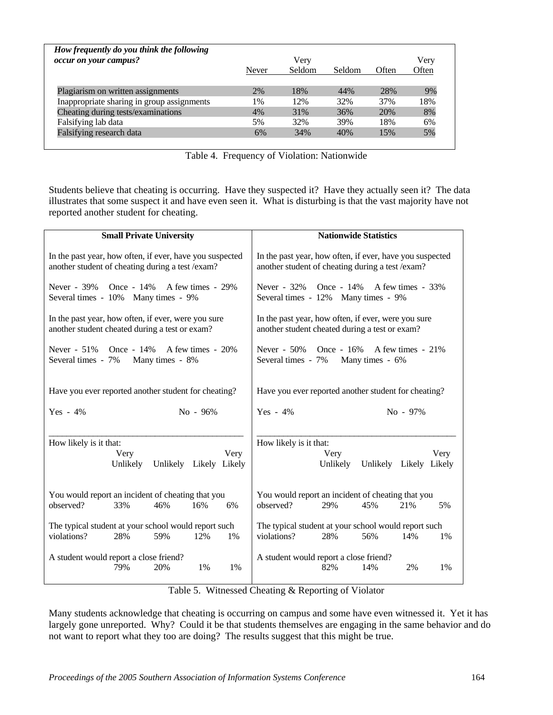| How frequently do you think the following<br>occur on your campus? | Never | Very<br>Seldom | Seldom | Often | Very<br>Often |
|--------------------------------------------------------------------|-------|----------------|--------|-------|---------------|
| Plagiarism on written assignments                                  | 2%    | 18%            | 44%    | 28%   | 9%            |
| Inappropriate sharing in group assignments                         | 1%    | 12%            | 32%    | 37%   | 18%           |
| Cheating during tests/examinations                                 | 4%    | 31%            | 36%    | 20%   | 8%            |
| Falsifying lab data                                                | 5%    | 32%            | 39%    | 18%   | 6%            |
| Falsifying research data                                           | 6%    | 34%            | 40%    | 15%   | 5%            |

Table 4. Frequency of Violation: Nationwide

Students believe that cheating is occurring. Have they suspected it? Have they actually seen it? The data illustrates that some suspect it and have even seen it. What is disturbing is that the vast majority have not reported another student for cheating.

| <b>Small Private University</b>                          | <b>Nationwide Statistics</b>                             |
|----------------------------------------------------------|----------------------------------------------------------|
| In the past year, how often, if ever, have you suspected | In the past year, how often, if ever, have you suspected |
| another student of cheating during a test /exam?         | another student of cheating during a test /exam?         |
| Once - $14\%$                                            | Once - $14\%$                                            |
| A few times - 29%                                        | A few times - 33%                                        |
| Never - 39%                                              | Never - 32%                                              |
| Several times - 10% Many times - 9%                      | Several times - 12% Many times - 9%                      |
| In the past year, how often, if ever, were you sure      | In the past year, how often, if ever, were you sure      |
| another student cheated during a test or exam?           | another student cheated during a test or exam?           |
| Never - 51% Once - 14%                                   | Once - $16\%$ A few times - $21\%$                       |
| A few times - 20%                                        | Never $-50\%$                                            |
| Many times - 8%                                          | Several times - 7%                                       |
| Several times - 7%                                       | Many times - 6%                                          |
| Have you ever reported another student for cheating?     | Have you ever reported another student for cheating?     |
| Yes $-4\%$                                               | Yes $-4\%$                                               |
| $No - 96\%$                                              | $No - 97\%$                                              |
| How likely is it that:                                   | How likely is it that:                                   |
| Very                                                     | Very                                                     |
| Very                                                     | Very                                                     |
| Unlikely                                                 | Unlikely                                                 |
| Unlikely Likely Likely                                   | Unlikely Likely Likely                                   |
| You would report an incident of cheating that you        | You would report an incident of cheating that you        |
| observed?                                                | observed?                                                |
| 33%                                                      | 29%                                                      |
| 16%                                                      | 45%                                                      |
| 6%                                                       | 21%                                                      |
| 46%                                                      | 5%                                                       |
| The typical student at your school would report such     | The typical student at your school would report such     |
| violations?                                              | violations?                                              |
| 28%                                                      | 28%                                                      |
| 59%                                                      | 56%                                                      |
| 12%                                                      | 14%                                                      |
| 1%                                                       | 1%                                                       |
| A student would report a close friend?                   | A student would report a close friend?                   |
| 20%                                                      | 14%                                                      |
| 1%                                                       | 82%                                                      |
| 79%                                                      | 2%                                                       |
| 1%                                                       | 1%                                                       |

Table 5. Witnessed Cheating & Reporting of Violator

Many students acknowledge that cheating is occurring on campus and some have even witnessed it. Yet it has largely gone unreported. Why? Could it be that students themselves are engaging in the same behavior and do not want to report what they too are doing? The results suggest that this might be true.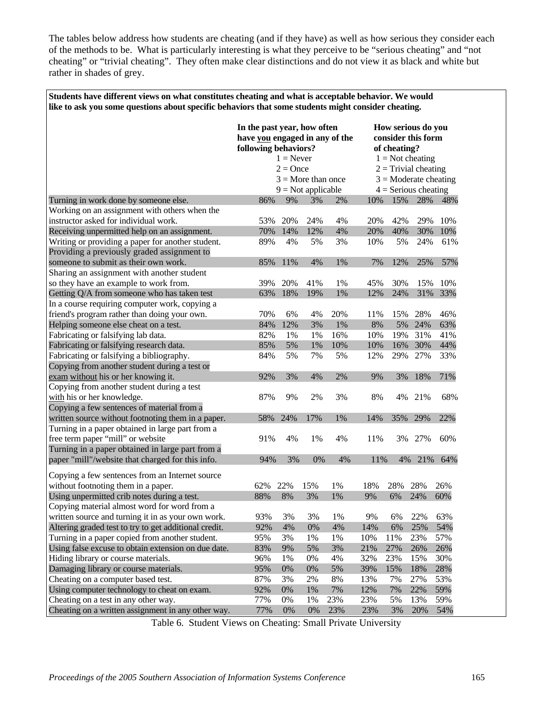The tables below address how students are cheating (and if they have) as well as how serious they consider each of the methods to be. What is particularly interesting is what they perceive to be "serious cheating" and "not cheating" or "trivial cheating". They often make clear distinctions and do not view it as black and white but rather in shades of grey.

**Students have different views on what constitutes cheating and what is acceptable behavior. We would** 

|                                                       | like to ask you some questions about specific behaviors that some students might consider cheating. |                      |     |     |     |                         |                                                                                           |     |  |
|-------------------------------------------------------|-----------------------------------------------------------------------------------------------------|----------------------|-----|-----|-----|-------------------------|-------------------------------------------------------------------------------------------|-----|--|
|                                                       | In the past year, how often<br>have you engaged in any of the<br>following behaviors?               | $1 =$ Never          |     |     |     | of cheating?            | How serious do you<br>consider this form<br>$1 = Not$ cheating<br>$2 = Trivial,$ cheating |     |  |
|                                                       |                                                                                                     | $2 =$ Once           |     |     |     |                         |                                                                                           |     |  |
|                                                       |                                                                                                     | $3 =$ More than once |     |     |     | $3 =$ Moderate cheating |                                                                                           |     |  |
|                                                       |                                                                                                     | $9 = Not applicable$ |     |     |     | $4 =$ Serious cheating  |                                                                                           |     |  |
| Turning in work done by someone else.                 | 86%                                                                                                 | 9%                   | 3%  | 2%  | 10% | 15%                     | 28%                                                                                       | 48% |  |
| Working on an assignment with others when the         |                                                                                                     |                      |     |     |     |                         |                                                                                           |     |  |
| instructor asked for individual work.                 | 53%                                                                                                 | 20%                  | 24% | 4%  | 20% | 42%                     | 29%                                                                                       | 10% |  |
| Receiving unpermitted help on an assignment.          | 70%                                                                                                 | 14%                  | 12% | 4%  | 20% | 40%                     | 30%                                                                                       | 10% |  |
| Writing or providing a paper for another student.     | 89%                                                                                                 | 4%                   | 5%  | 3%  | 10% | 5%                      | 24%                                                                                       | 61% |  |
| Providing a previously graded assignment to           |                                                                                                     |                      |     |     |     |                         |                                                                                           |     |  |
| someone to submit as their own work.                  | 85%                                                                                                 | 11%                  | 4%  | 1%  | 7%  | 12%                     | 25%                                                                                       | 57% |  |
| Sharing an assignment with another student            |                                                                                                     |                      |     |     |     |                         |                                                                                           |     |  |
| so they have an example to work from.                 | 39%                                                                                                 | 20%                  | 41% | 1%  | 45% | 30%                     | 15%                                                                                       | 10% |  |
| Getting Q/A from someone who has taken test           | 63%                                                                                                 | 18%                  | 19% | 1%  | 12% | 24%                     | 31%                                                                                       | 33% |  |
| In a course requiring computer work, copying a        |                                                                                                     |                      |     |     |     |                         |                                                                                           |     |  |
| friend's program rather than doing your own.          | 70%                                                                                                 | 6%                   | 4%  | 20% | 11% | 15%                     | 28%                                                                                       | 46% |  |
| Helping someone else cheat on a test.                 | 84%                                                                                                 | 12%                  | 3%  | 1%  | 8%  | 5%                      | 24%                                                                                       | 63% |  |
| Fabricating or falsifying lab data.                   | 82%                                                                                                 | 1%                   | 1%  | 16% | 10% | 19%                     | 31%                                                                                       | 41% |  |
| Fabricating or falsifying research data.              | 85%                                                                                                 | 5%                   | 1%  | 10% | 10% | 16%                     | 30%                                                                                       | 44% |  |
| Fabricating or falsifying a bibliography.             | 84%                                                                                                 | 5%                   | 7%  | 5%  | 12% | 29%                     | 27%                                                                                       | 33% |  |
| Copying from another student during a test or         |                                                                                                     |                      |     |     |     |                         |                                                                                           |     |  |
| exam without his or her knowing it.                   | 92%                                                                                                 | 3%                   | 4%  | 2%  | 9%  | 3%                      | 18%                                                                                       | 71% |  |
| Copying from another student during a test            |                                                                                                     |                      |     |     |     |                         |                                                                                           |     |  |
| with his or her knowledge.                            | 87%                                                                                                 | 9%                   | 2%  | 3%  | 8%  | 4%                      | 21%                                                                                       | 68% |  |
| Copying a few sentences of material from a            |                                                                                                     |                      |     |     |     |                         |                                                                                           |     |  |
| written source without footnoting them in a paper.    | 58%                                                                                                 | 24%                  | 17% | 1%  | 14% | 35%                     | 29%                                                                                       | 22% |  |
| Turning in a paper obtained in large part from a      |                                                                                                     |                      |     |     |     |                         |                                                                                           |     |  |
| free term paper "mill" or website                     | 91%                                                                                                 | 4%                   | 1%  | 4%  | 11% | 3%                      | 27%                                                                                       | 60% |  |
| Turning in a paper obtained in large part from a      |                                                                                                     |                      |     |     |     |                         |                                                                                           |     |  |
| paper "mill"/website that charged for this info.      | 94%                                                                                                 | 3%                   | 0%  | 4%  | 11% | 4%                      | 21%                                                                                       | 64% |  |
| Copying a few sentences from an Internet source       |                                                                                                     |                      |     |     |     |                         |                                                                                           |     |  |
| without footnoting them in a paper.                   | 62%                                                                                                 | 22%                  | 15% | 1%  | 18% | 28%                     | 28%                                                                                       | 26% |  |
| Using unpermitted crib notes during a test.           | 88%                                                                                                 | 8%                   | 3%  | 1%  | 9%  | 6%                      | 24%                                                                                       | 60% |  |
| Copying material almost word for word from a          |                                                                                                     |                      |     |     |     |                         |                                                                                           |     |  |
| written source and turning it in as your own work.    | 93%                                                                                                 | 3%                   | 3%  | 1%  | 9%  | 6%                      | 22%                                                                                       | 63% |  |
| Altering graded test to try to get additional credit. | 92%                                                                                                 | 4%                   | 0%  | 4%  | 14% | 6%                      | 25%                                                                                       | 54% |  |
| Turning in a paper copied from another student.       | 95%                                                                                                 | 3%                   | 1%  | 1%  | 10% | 11%                     | 23%                                                                                       | 57% |  |
| Using false excuse to obtain extension on due date.   | 83%                                                                                                 | 9%                   | 5%  | 3%  | 21% | 27%                     | 26%                                                                                       | 26% |  |
| Hiding library or course materials.                   | 96%                                                                                                 | 1%                   | 0%  | 4%  | 32% | 23%                     | 15%                                                                                       | 30% |  |
| Damaging library or course materials.                 | 95%                                                                                                 | $0\%$                | 0%  | 5%  | 39% | 15%                     | 18%                                                                                       | 28% |  |
| Cheating on a computer based test.                    | 87%                                                                                                 | 3%                   | 2%  | 8%  | 13% | 7%                      | 27%                                                                                       | 53% |  |
| Using computer technology to cheat on exam.           | 92%                                                                                                 | $0\%$                | 1%  | 7%  | 12% | 7%                      | 22%                                                                                       | 59% |  |
| Cheating on a test in any other way.                  | 77%                                                                                                 | 0%                   | 1%  | 23% | 23% | 5%                      | 13%                                                                                       | 59% |  |
| Cheating on a written assignment in any other way.    | 77%                                                                                                 | $0\%$                | 0%  | 23% | 23% | 3%                      | 20%                                                                                       | 54% |  |

Table 6. Student Views on Cheating: Small Private University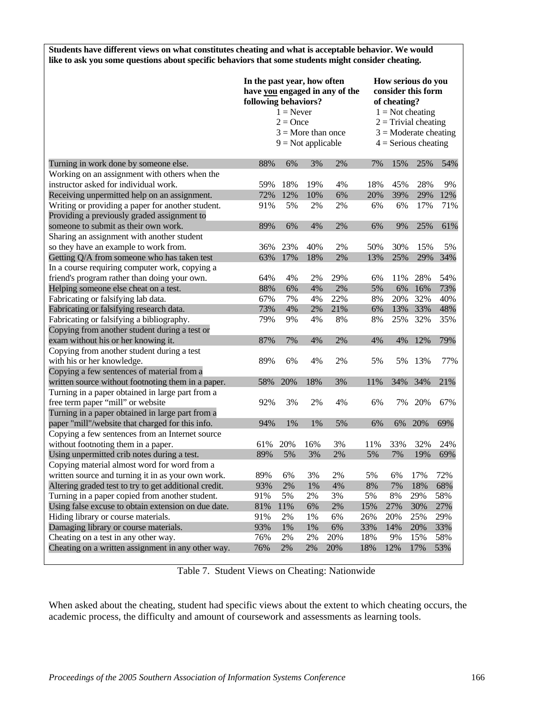**Students have different views on what constitutes cheating and what is acceptable behavior. We would like to ask you some questions about specific behaviors that some students might consider cheating.** 

|                                                       | In the past year, how often<br>following behaviors? | $1 =$ Never<br>$2 =$ Once<br>$3 =$ More than once<br>$9 = Not applicable$ |       | have you engaged in any of the |     | How serious do you<br>consider this form<br>of cheating?<br>$1 = Not$ cheating<br>$2 = Trivial,$<br>$3 =$ Moderate cheating<br>$4 =$ Serious cheating |     |     |
|-------------------------------------------------------|-----------------------------------------------------|---------------------------------------------------------------------------|-------|--------------------------------|-----|-------------------------------------------------------------------------------------------------------------------------------------------------------|-----|-----|
| Turning in work done by someone else.                 | 88%                                                 | 6%                                                                        | 3%    | 2%                             | 7%  | 15%                                                                                                                                                   | 25% | 54% |
| Working on an assignment with others when the         |                                                     |                                                                           |       |                                |     |                                                                                                                                                       |     |     |
| instructor asked for individual work.                 | 59%                                                 | 18%                                                                       | 19%   | 4%                             | 18% | 45%                                                                                                                                                   | 28% | 9%  |
| Receiving unpermitted help on an assignment.          | 72%                                                 | 12%                                                                       | 10%   | 6%                             | 20% | 39%                                                                                                                                                   | 29% | 12% |
| Writing or providing a paper for another student.     | 91%                                                 | 5%                                                                        | 2%    | 2%                             | 6%  | 6%                                                                                                                                                    | 17% | 71% |
| Providing a previously graded assignment to           |                                                     |                                                                           |       |                                |     |                                                                                                                                                       |     |     |
| someone to submit as their own work.                  | 89%                                                 | 6%                                                                        | 4%    | 2%                             | 6%  | 9%                                                                                                                                                    | 25% | 61% |
| Sharing an assignment with another student            |                                                     |                                                                           |       |                                |     |                                                                                                                                                       |     |     |
| so they have an example to work from.                 | 36%                                                 | 23%                                                                       | 40%   | 2%                             | 50% | 30%                                                                                                                                                   | 15% | 5%  |
| Getting Q/A from someone who has taken test           | 63%                                                 | 17%                                                                       | 18%   | 2%                             | 13% | 25%                                                                                                                                                   | 29% | 34% |
| In a course requiring computer work, copying a        |                                                     |                                                                           |       |                                |     |                                                                                                                                                       |     |     |
| friend's program rather than doing your own.          | 64%                                                 | 4%                                                                        | 2%    | 29%                            | 6%  | 11%                                                                                                                                                   | 28% | 54% |
| Helping someone else cheat on a test.                 | 88%                                                 | 6%                                                                        | 4%    | 2%                             | 5%  | 6%                                                                                                                                                    | 16% | 73% |
| Fabricating or falsifying lab data.                   | 67%                                                 | 7%                                                                        | 4%    | 22%                            | 8%  | 20%                                                                                                                                                   | 32% | 40% |
| Fabricating or falsifying research data.              | 73%                                                 | 4%                                                                        | 2%    | 21%                            | 6%  | 13%                                                                                                                                                   | 33% | 48% |
| Fabricating or falsifying a bibliography.             | 79%                                                 | 9%                                                                        | 4%    | 8%                             | 8%  | 25%                                                                                                                                                   | 32% | 35% |
| Copying from another student during a test or         |                                                     |                                                                           |       |                                |     |                                                                                                                                                       |     |     |
| exam without his or her knowing it.                   | 87%                                                 | 7%                                                                        | 4%    | 2%                             | 4%  | 4%                                                                                                                                                    | 12% | 79% |
| Copying from another student during a test            |                                                     |                                                                           |       |                                |     |                                                                                                                                                       |     |     |
| with his or her knowledge.                            | 89%                                                 | 6%                                                                        | 4%    | 2%                             | 5%  | 5%                                                                                                                                                    | 13% | 77% |
| Copying a few sentences of material from a            |                                                     |                                                                           |       |                                |     |                                                                                                                                                       |     |     |
| written source without footnoting them in a paper.    | 58%                                                 | 20%                                                                       | 18%   | 3%                             | 11% | 34%                                                                                                                                                   | 34% | 21% |
| Turning in a paper obtained in large part from a      |                                                     |                                                                           |       |                                |     |                                                                                                                                                       |     |     |
| free term paper "mill" or website                     | 92%                                                 | 3%                                                                        | 2%    | 4%                             | 6%  | 7%                                                                                                                                                    | 20% | 67% |
| Turning in a paper obtained in large part from a      |                                                     |                                                                           |       |                                |     |                                                                                                                                                       |     |     |
| paper "mill"/website that charged for this info.      | 94%                                                 | 1%                                                                        | 1%    | 5%                             | 6%  | 6%                                                                                                                                                    | 20% | 69% |
| Copying a few sentences from an Internet source       |                                                     |                                                                           |       |                                |     |                                                                                                                                                       |     |     |
| without footnoting them in a paper.                   | 61%                                                 | 20%                                                                       | 16%   | 3%                             | 11% | 33%                                                                                                                                                   | 32% | 24% |
| Using unpermitted crib notes during a test.           | 89%                                                 | 5%                                                                        | 3%    | 2%                             | 5%  | 7%                                                                                                                                                    | 19% | 69% |
| Copying material almost word for word from a          |                                                     |                                                                           |       |                                |     |                                                                                                                                                       |     |     |
| written source and turning it in as your own work.    | 89%                                                 | 6%                                                                        | 3%    | 2%                             | 5%  | 6%                                                                                                                                                    | 17% | 72% |
| Altering graded test to try to get additional credit. | 93%                                                 | 2%                                                                        | 1%    | 4%                             | 8%  | 7%                                                                                                                                                    | 18% | 68% |
| Turning in a paper copied from another student.       | 91%                                                 | 5%                                                                        | 2%    | 3%                             | 5%  | 8%                                                                                                                                                    | 29% | 58% |
| Using false excuse to obtain extension on due date.   | 81%                                                 | 11%                                                                       | 6%    | 2%                             | 15% | 27%                                                                                                                                                   | 30% | 27% |
| Hiding library or course materials.                   | 91%                                                 | 2%                                                                        | 1%    | 6%                             | 26% | 20%                                                                                                                                                   | 25% | 29% |
| Damaging library or course materials.                 | 93%                                                 | 1%                                                                        | $1\%$ | 6%                             | 33% | 14%                                                                                                                                                   | 20% | 33% |
| Cheating on a test in any other way.                  | 76%                                                 | 2%                                                                        | 2%    | 20%                            | 18% | 9%                                                                                                                                                    | 15% | 58% |
| Cheating on a written assignment in any other way.    | 76%                                                 | 2%                                                                        | 2%    | 20%                            | 18% | 12%                                                                                                                                                   | 17% | 53% |
|                                                       |                                                     |                                                                           |       |                                |     |                                                                                                                                                       |     |     |

Table 7. Student Views on Cheating: Nationwide

When asked about the cheating, student had specific views about the extent to which cheating occurs, the academic process, the difficulty and amount of coursework and assessments as learning tools.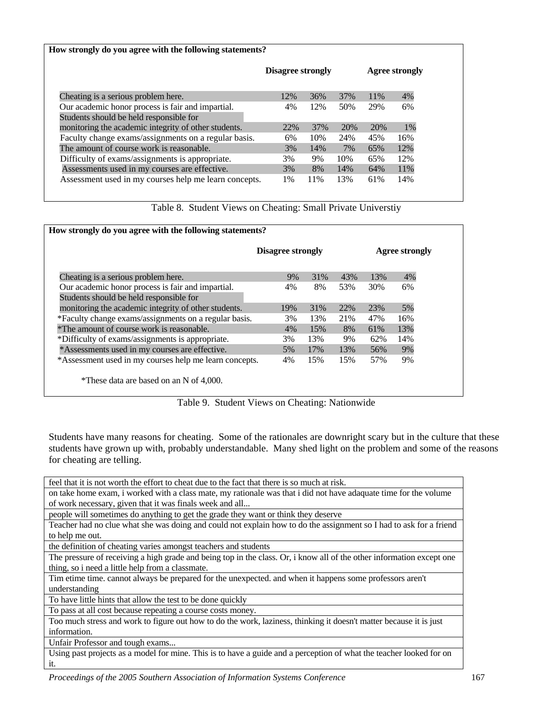| How strongly do you agree with the following statements?                                     |                          |                       |     |     |     |
|----------------------------------------------------------------------------------------------|--------------------------|-----------------------|-----|-----|-----|
|                                                                                              | <b>Disagree strongly</b> | <b>Agree strongly</b> |     |     |     |
| Cheating is a serious problem here.                                                          | 12%                      | 36%                   | 37% | 11% | 4%  |
| Our academic honor process is fair and impartial.<br>Students should be held responsible for | 4%                       | 12%                   | 50% | 29% | 6%  |
| monitoring the academic integrity of other students.                                         | 22%                      | 37%                   | 20% | 20% | 1%  |
| Faculty change exams/assignments on a regular basis.                                         | 6%                       | 10%                   | 24% | 45% | 16% |
| The amount of course work is reasonable.                                                     | 3%                       | 14%                   | 7%  | 65% | 12% |
| Difficulty of exams/assignments is appropriate.                                              | 3%                       | 9%                    | 10% | 65% | 12% |
| Assessments used in my courses are effective.                                                | 3%                       | 8%                    | 14% | 64% | 11% |
| Assessment used in my courses help me learn concepts.                                        | 1%                       | 11%                   | 13% | 61% | 14% |

Table 8. Student Views on Cheating: Small Private Universtiy

|                                                        | <b>Disagree strongly</b> |     |     | <b>Agree strongly</b> |     |  |
|--------------------------------------------------------|--------------------------|-----|-----|-----------------------|-----|--|
| Cheating is a serious problem here.                    | 9%                       | 31% | 43% | 13%                   | 4%  |  |
| Our academic honor process is fair and impartial.      | 4%                       | 8%  | 53% | 30%                   | 6%  |  |
| Students should be held responsible for                |                          |     |     |                       |     |  |
| monitoring the academic integrity of other students.   | 19%                      | 31% | 22% | 23%                   | 5%  |  |
| *Faculty change exams/assignments on a regular basis.  | 3%                       | 13% | 21% | 47%                   | 16% |  |
| *The amount of course work is reasonable.              | 4%                       | 15% | 8%  | 61%                   | 13% |  |
| *Difficulty of exams/assignments is appropriate.       | 3%                       | 13% | 9%  | 62%                   | 14% |  |
| *Assessments used in my courses are effective.         | 5%                       | 17% | 13% | 56%                   | 9%  |  |
| *Assessment used in my courses help me learn concepts. | 4%                       | 15% | 15% | 57%                   | 9%  |  |

Table 9. Student Views on Cheating: Nationwide

Students have many reasons for cheating. Some of the rationales are downright scary but in the culture that these students have grown up with, probably understandable. Many shed light on the problem and some of the reasons for cheating are telling.

feel that it is not worth the effort to cheat due to the fact that there is so much at risk.

on take home exam, i worked with a class mate, my rationale was that i did not have adaquate time for the volume of work necessary, given that it was finals week and all...

people will sometimes do anything to get the grade they want or think they deserve

Teacher had no clue what she was doing and could not explain how to do the assignment so I had to ask for a friend to help me out.

the definition of cheating varies amongst teachers and students

The pressure of receiving a high grade and being top in the class. Or, i know all of the other information except one thing, so i need a little help from a classmate.

Tim etime time. cannot always be prepared for the unexpected. and when it happens some professors aren't understanding

To have little hints that allow the test to be done quickly

To pass at all cost because repeating a course costs money.

Too much stress and work to figure out how to do the work, laziness, thinking it doesn't matter because it is just information.

Unfair Professor and tough exams...

Using past projects as a model for mine. This is to have a guide and a perception of what the teacher looked for on it.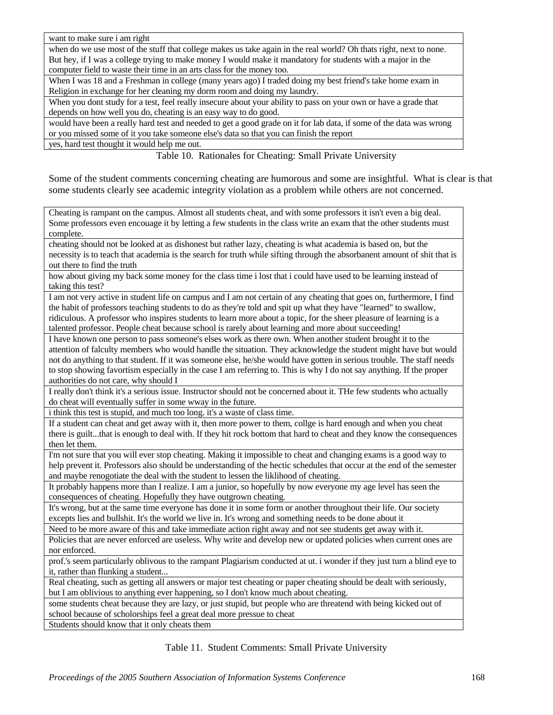want to make sure i am right

when do we use most of the stuff that college makes us take again in the real world? Oh thats right, next to none. But hey, if I was a college trying to make money I would make it mandatory for students with a major in the computer field to waste their time in an arts class for the money too.

When I was 18 and a Freshman in college (many years ago) I traded doing my best friend's take home exam in Religion in exchange for her cleaning my dorm room and doing my laundry.

When you dont study for a test, feel really insecure about your ability to pass on your own or have a grade that depends on how well you do, cheating is an easy way to do good.

would have been a really hard test and needed to get a good grade on it for lab data, if some of the data was wrong or you missed some of it you take someone else's data so that you can finish the report

yes, hard test thought it would help me out.

Table 10. Rationales for Cheating: Small Private University

Some of the student comments concerning cheating are humorous and some are insightful. What is clear is that some students clearly see academic integrity violation as a problem while others are not concerned.

Cheating is rampant on the campus. Almost all students cheat, and with some professors it isn't even a big deal. Some professors even encouage it by letting a few students in the class write an exam that the other students must complete.

cheating should not be looked at as dishonest but rather lazy, cheating is what academia is based on, but the necessity is to teach that academia is the search for truth while sifting through the absorbanent amount of shit that is out there to find the truth

how about giving my back some money for the class time i lost that i could have used to be learning instead of taking this test?

I am not very active in student life on campus and I am not certain of any cheating that goes on, furthermore, I find the habit of professors teaching students to do as they're told and spit up what they have "learned" to swallow, ridiculous. A professor who inspires students to learn more about a topic, for the sheer pleasure of learning is a talented professor. People cheat because school is rarely about learning and more about succeeding!

I have known one person to pass someone's elses work as there own. When another student brought it to the attention of falculty members who would handle the situation. They acknowledge the student might have but would not do anything to that student. If it was someone else, he/she would have gotten in serious trouble. The staff needs to stop showing favortism especially in the case I am referring to. This is why I do not say anything. If the proper authorities do not care, why should I

I really don't think it's a serious issue. Instructor should not be concerned about it. THe few students who actually do cheat will eventually suffer in some wway in the future.

i think this test is stupid, and much too long. it's a waste of class time.

If a student can cheat and get away with it, then more power to them, collge is hard enough and when you cheat there is guilt...that is enough to deal with. If they hit rock bottom that hard to cheat and they know the consequences then let them.

I'm not sure that you will ever stop cheating. Making it impossible to cheat and changing exams is a good way to help prevent it. Professors also should be understanding of the hectic schedules that occur at the end of the semester and maybe renogotiate the deal with the student to lessen the liklihood of cheating.

It probably happens more than I realize. I am a junior, so hopefully by now everyone my age level has seen the consequences of cheating. Hopefully they have outgrown cheating.

It's wrong, but at the same time everyone has done it in some form or another throughout their life. Our society excepts lies and bullshit. It's the world we live in. It's wrong and something needs to be done about it

Need to be more aware of this and take immediate action right away and not see students get away with it.

Policies that are never enforced are useless. Why write and develop new or updated policies when current ones are nor enforced.

prof.'s seem particularly oblivous to the rampant Plagiarism conducted at ut. i wonder if they just turn a blind eye to it, rather than flunking a student...

Real cheating, such as getting all answers or major test cheating or paper cheating should be dealt with seriously, but I am oblivious to anything ever happening, so I don't know much about cheating.

some students cheat because they are lazy, or just stupid, but people who are threatend with being kicked out of school because of scholorships feel a great deal more pressue to cheat

Students should know that it only cheats them

Table 11. Student Comments: Small Private University